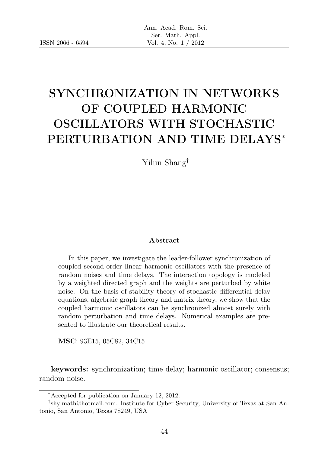# SYNCHRONIZATION IN NETWORKS OF COUPLED HARMONIC OSCILLATORS WITH STOCHASTIC PERTURBATION AND TIME DELAYS<sup>∗</sup>

Yilun Shang†

#### Abstract

In this paper, we investigate the leader-follower synchronization of coupled second-order linear harmonic oscillators with the presence of random noises and time delays. The interaction topology is modeled by a weighted directed graph and the weights are perturbed by white noise. On the basis of stability theory of stochastic differential delay equations, algebraic graph theory and matrix theory, we show that the coupled harmonic oscillators can be synchronized almost surely with random perturbation and time delays. Numerical examples are presented to illustrate our theoretical results.

MSC: 93E15, 05C82, 34C15

keywords: synchronization; time delay; harmonic oscillator; consensus; random noise.

<sup>∗</sup>Accepted for publication on January 12, 2012.

<sup>†</sup> shylmath@hotmail.com. Institute for Cyber Security, University of Texas at San Antonio, San Antonio, Texas 78249, USA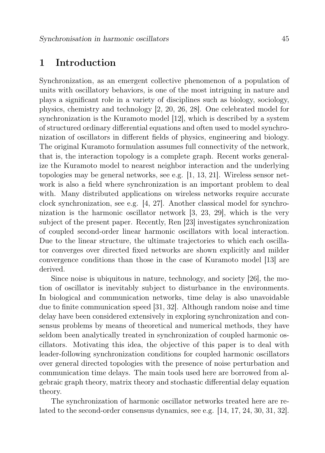### 1 Introduction

Synchronization, as an emergent collective phenomenon of a population of units with oscillatory behaviors, is one of the most intriguing in nature and plays a significant role in a variety of disciplines such as biology, sociology, physics, chemistry and technology [2, 20, 26, 28]. One celebrated model for synchronization is the Kuramoto model [12], which is described by a system of structured ordinary differential equations and often used to model synchronization of oscillators in different fields of physics, engineering and biology. The original Kuramoto formulation assumes full connectivity of the network, that is, the interaction topology is a complete graph. Recent works generalize the Kuramoto model to nearest neighbor interaction and the underlying topologies may be general networks, see e.g.  $[1, 13, 21]$ . Wireless sensor network is also a field where synchronization is an important problem to deal with. Many distributed applications on wireless networks require accurate clock synchronization, see e.g. [4, 27]. Another classical model for synchronization is the harmonic oscillator network [3, 23, 29], which is the very subject of the present paper. Recently, Ren [23] investigates synchronization of coupled second-order linear harmonic oscillators with local interaction. Due to the linear structure, the ultimate trajectories to which each oscillator converges over directed fixed networks are shown explicitly and milder convergence conditions than those in the case of Kuramoto model [13] are derived.

Since noise is ubiquitous in nature, technology, and society [26], the motion of oscillator is inevitably subject to disturbance in the environments. In biological and communication networks, time delay is also unavoidable due to finite communication speed [31, 32]. Although random noise and time delay have been considered extensively in exploring synchronization and consensus problems by means of theoretical and numerical methods, they have seldom been analytically treated in synchronization of coupled harmonic oscillators. Motivating this idea, the objective of this paper is to deal with leader-following synchronization conditions for coupled harmonic oscillators over general directed topologies with the presence of noise perturbation and communication time delays. The main tools used here are borrowed from algebraic graph theory, matrix theory and stochastic differential delay equation theory.

The synchronization of harmonic oscillator networks treated here are related to the second-order consensus dynamics, see e.g. [14, 17, 24, 30, 31, 32].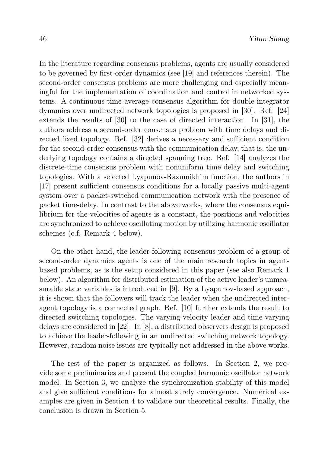In the literature regarding consensus problems, agents are usually considered to be governed by first-order dynamics (see [19] and references therein). The second-order consensus problems are more challenging and especially meaningful for the implementation of coordination and control in networked systems. A continuous-time average consensus algorithm for double-integrator dynamics over undirected network topologies is proposed in [30]. Ref. [24] extends the results of [30] to the case of directed interaction. In [31], the authors address a second-order consensus problem with time delays and directed fixed topology. Ref. [32] derives a necessary and sufficient condition for the second-order consensus with the communication delay, that is, the underlying topology contains a directed spanning tree. Ref. [14] analyzes the discrete-time consensus problem with nonuniform time delay and switching topologies. With a selected Lyapunov-Razumikhim function, the authors in [17] present sufficient consensus conditions for a locally passive multi-agent system over a packet-switched communication network with the presence of packet time-delay. In contrast to the above works, where the consensus equilibrium for the velocities of agents is a constant, the positions and velocities are synchronized to achieve oscillating motion by utilizing harmonic oscillator schemes (c.f. Remark 4 below).

On the other hand, the leader-following consensus problem of a group of second-order dynamics agents is one of the main research topics in agentbased problems, as is the setup considered in this paper (see also Remark 1 below). An algorithm for distributed estimation of the active leader's unmeasurable state variables is introduced in [9]. By a Lyapunov-based approach, it is shown that the followers will track the leader when the undirected interagent topology is a connected graph. Ref. [10] further extends the result to directed switching topologies. The varying-velocity leader and time-varying delays are considered in [22]. In [8], a distributed observers design is proposed to achieve the leader-following in an undirected switching network topology. However, random noise issues are typically not addressed in the above works.

The rest of the paper is organized as follows. In Section 2, we provide some preliminaries and present the coupled harmonic oscillator network model. In Section 3, we analyze the synchronization stability of this model and give sufficient conditions for almost surely convergence. Numerical examples are given in Section 4 to validate our theoretical results. Finally, the conclusion is drawn in Section 5.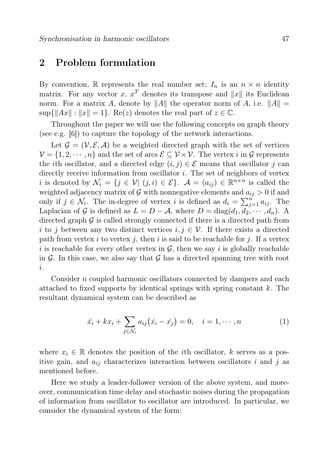### 2 Problem formulation

By convention, R represents the real number set;  $I_n$  is an  $n \times n$  identity matrix. For any vector x,  $x^T$  denotes its transpose and ||x|| its Euclidean norm. For a matrix A, denote by  $||A||$  the operator norm of A, i.e.  $||A|| =$  $\sup\{\|Ax\|: \|x\|=1\}$ . Re(z) denotes the real part of  $z \in \mathbb{C}$ .

Throughout the paper we will use the following concepts on graph theory (see e.g. [6]) to capture the topology of the network interactions.

Let  $\mathcal{G} = (\mathcal{V}, \mathcal{E}, \mathcal{A})$  be a weighted directed graph with the set of vertices  $\mathcal{V} = \{1, 2, \dots, n\}$  and the set of arcs  $\mathcal{E} \subseteq \mathcal{V} \times \mathcal{V}$ . The vertex i in G represents the *i*th oscillator, and a directed edge  $(i, j) \in \mathcal{E}$  means that oscillator j can directly receive information from oscillator  $i$ . The set of neighbors of vertex i is denoted by  $\mathcal{N}_i = \{j \in \mathcal{V} | (j,i) \in \mathcal{E}\}\.$   $\mathcal{A} = (a_{ij}) \in \mathbb{R}^{n \times n}$  is called the weighted adjacency matrix of G with nonnegative elements and  $a_{ij} > 0$  if and only if  $j \in \mathcal{N}_i$ . The in-degree of vertex i is defined as  $d_i = \sum_{j=1}^{n} a_{ij}$ . The Laplacian of G is defined as  $L = D - A$ , where  $D = diag(d_1, d_2, \dots, d_n)$ . A directed graph  $\mathcal G$  is called strongly connected if there is a directed path from i to j between any two distinct vertices  $i, j \in V$ . If there exists a directed path from vertex i to vertex j, then i is said to be reachable for j. If a vertex i is reachable for every other vertex in  $\mathcal{G}$ , then we say i is globally reachable in  $\mathcal G$ . In this case, we also say that  $\mathcal G$  has a directed spanning tree with root i.

Consider n coupled harmonic oscillators connected by dampers and each attached to fixed supports by identical springs with spring constant  $k$ . The resultant dynamical system can be described as

$$
\ddot{x_i} + kx_i + \sum_{j \in \mathcal{N}_i} a_{ij} (\dot{x_i} - \dot{x_j}) = 0, \quad i = 1, \cdots, n
$$
 (1)

where  $x_i \in \mathbb{R}$  denotes the position of the *i*th oscillator, k serves as a positive gain, and  $a_{ij}$  characterizes interaction between oscillators i and j as mentioned before.

Here we study a leader-follower version of the above system, and moreover, communication time delay and stochastic noises during the propagation of information from oscillator to oscillator are introduced. In particular, we consider the dynamical system of the form: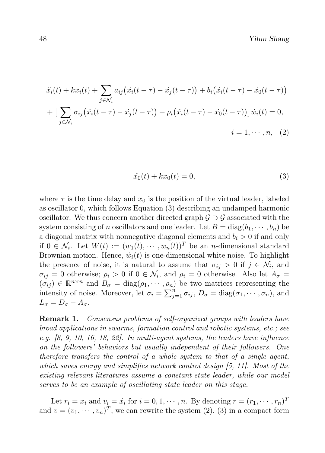$$
\ddot{x}_i(t) + kx_i(t) + \sum_{j \in \mathcal{N}_i} a_{ij} (\dot{x}_i(t-\tau) - \dot{x}_j(t-\tau)) + b_i (\dot{x}_i(t-\tau) - \dot{x}_0(t-\tau)) \n+ \left[ \sum_{j \in \mathcal{N}_i} \sigma_{ij} (\dot{x}_i(t-\tau) - \dot{x}_j(t-\tau)) + \rho_i (\dot{x}_i(t-\tau) - \dot{x}_0(t-\tau)) \right] \dot{w}_i(t) = 0, \n\dot{i} = 1, \dots, n, (2)
$$

$$
\ddot{x}_0(t) + kx_0(t) = 0,\t\t(3)
$$

where  $\tau$  is the time delay and  $x_0$  is the position of the virtual leader, labeled as oscillator 0, which follows Equation (3) describing an undamped harmonic oscillator. We thus concern another directed graph  $\overline{G} \supset G$  associated with the system consisting of n oscillators and one leader. Let  $B = \text{diag}(b_1, \dots, b_n)$  be a diagonal matrix with nonnegative diagonal elements and  $b_i > 0$  if and only if  $0 \in \mathcal{N}_i$ . Let  $W(t) := (w_1(t), \dots, w_n(t))^T$  be an *n*-dimensional standard Brownian motion. Hence,  $\dot{w}_i(t)$  is one-dimensional white noise. To highlight the presence of noise, it is natural to assume that  $\sigma_{ij} > 0$  if  $j \in \mathcal{N}_i$ , and  $\sigma_{ij} = 0$  otherwise;  $\rho_i > 0$  if  $0 \in \mathcal{N}_i$ , and  $\rho_i = 0$  otherwise. Also let  $A_{\sigma} =$  $(\sigma_{ij}) \in \mathbb{R}^{n \times n}$  and  $B_{\sigma} = \text{diag}(\rho_1, \dots, \rho_n)$  be two matrices representing the intensity of noise. Moreover, let  $\sigma_i = \sum_{j=1}^n \sigma_{ij}$ ,  $D_{\sigma} = \text{diag}(\sigma_1, \cdots, \sigma_n)$ , and  $L_{\sigma} = D_{\sigma} - A_{\sigma}.$ 

**Remark 1.** Consensus problems of self-organized groups with leaders have broad applications in swarms, formation control and robotic systems, etc.; see e.g. [8, 9, 10, 16, 18, 22]. In multi-agent systems, the leaders have influence on the followers' behaviors but usually independent of their followers. One therefore transfers the control of a whole system to that of a single agent, which saves energy and simplifies network control design [5, 11]. Most of the existing relevant literatures assume a constant state leader, while our model serves to be an example of oscillating state leader on this stage.

Let  $r_i = x_i$  and  $v_i = \dot{x_i}$  for  $i = 0, 1, \dots, n$ . By denoting  $r = (r_1, \dots, r_n)^T$ and  $v = (v_1, \dots, v_n)^T$ , we can rewrite the system (2), (3) in a compact form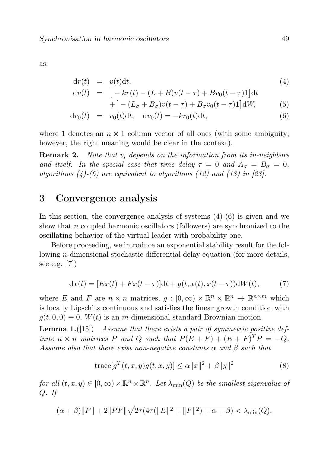as:

$$
dr(t) = v(t)dt, \t\t(4)
$$

$$
dv(t) = [-kr(t) - (L+B)v(t-\tau) + Bv_0(t-\tau)1]dt
$$

$$
+ \big[ - (L_{\sigma} + B_{\sigma})v(t - \tau) + B_{\sigma}v_0(t - \tau)1 \big] \mathrm{d}W, \tag{5}
$$

$$
dr_0(t) = v_0(t)dt, dv_0(t) = -kr_0(t)dt,
$$
 (6)

where 1 denotes an  $n \times 1$  column vector of all ones (with some ambiguity; however, the right meaning would be clear in the context).

**Remark 2.** Note that  $v_i$  depends on the information from its in-neighbors and itself. In the special case that time delay  $\tau = 0$  and  $A_{\sigma} = B_{\sigma} = 0$ , algorithms  $(4)-(6)$  are equivalent to algorithms  $(12)$  and  $(13)$  in [23].

# 3 Convergence analysis

In this section, the convergence analysis of systems  $(4)-(6)$  is given and we show that n coupled harmonic oscillators (followers) are synchronized to the oscillating behavior of the virtual leader with probability one.

Before proceeding, we introduce an exponential stability result for the following n-dimensional stochastic differential delay equation (for more details, see e.g. [7])

$$
dx(t) = [Ex(t) + Fx(t - \tau)]dt + g(t, x(t), x(t - \tau))dW(t), \tag{7}
$$

where E and F are  $n \times n$  matrices,  $g : [0, \infty) \times \mathbb{R}^n \times \mathbb{R}^n \to \mathbb{R}^{n \times m}$  which is locally Lipschitz continuous and satisfies the linear growth condition with  $g(t, 0, 0) \equiv 0$ ,  $W(t)$  is an m-dimensional standard Brownian motion.

**Lemma 1.** ([15]) Assume that there exists a pair of symmetric positive definite  $n \times n$  matrices P and Q such that  $P(E + F) + (E + F)^T P = -Q$ . Assume also that there exist non-negative constants  $\alpha$  and  $\beta$  such that

$$
\operatorname{trace}[g^T(t,x,y)g(t,x,y)] \le \alpha ||x||^2 + \beta ||y||^2 \tag{8}
$$

for all  $(t, x, y) \in [0, \infty) \times \mathbb{R}^n \times \mathbb{R}^n$ . Let  $\lambda_{\min}(Q)$  be the smallest eigenvalue of Q. If

$$
(\alpha + \beta) \|P\| + 2\|PF\|\sqrt{2\tau(4\tau(\|E\|^2 + \|F\|^2) + \alpha + \beta)} < \lambda_{\min}(Q),
$$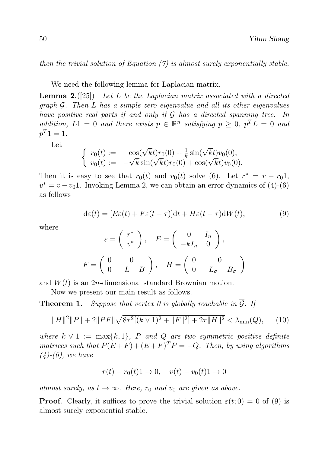then the trivial solution of Equation  $(7)$  is almost surely exponentially stable.

We need the following lemma for Laplacian matrix.

**Lemma 2.** ([25]) Let L be the Laplacian matrix associated with a directed graph G. Then L has a simple zero eigenvalue and all its other eigenvalues have positive real parts if and only if G has a directed spanning tree. In addition,  $L1 = 0$  and there exists  $p \in \mathbb{R}^n$  satisfying  $p \geq 0$ ,  $p^T L = 0$  and  $p^T 1 = 1.$ 

Let

$$
\begin{cases}\nr_0(t) := \cos(\sqrt{k}t)r_0(0) + \frac{1}{k}\sin(\sqrt{k}t)v_0(0), \\
v_0(t) := -\sqrt{k}\sin(\sqrt{k}t)r_0(0) + \cos(\sqrt{k}t)v_0(0).\n\end{cases}
$$

Then it is easy to see that  $r_0(t)$  and  $v_0(t)$  solve (6). Let  $r^* = r - r_0 1$ ,  $v^* = v - v_0$ 1. Invoking Lemma 2, we can obtain an error dynamics of (4)-(6) as follows

$$
d\varepsilon(t) = [E\varepsilon(t) + F\varepsilon(t-\tau)]dt + H\varepsilon(t-\tau)dW(t), \tag{9}
$$

where

$$
\varepsilon = \begin{pmatrix} r^* \\ v^* \end{pmatrix}, \quad E = \begin{pmatrix} 0 & I_n \\ -kI_n & 0 \end{pmatrix},
$$

$$
F = \begin{pmatrix} 0 & 0 \\ 0 & -L - B \end{pmatrix}, \quad H = \begin{pmatrix} 0 & 0 \\ 0 & -L_{\sigma} - B_{\sigma} \end{pmatrix}
$$

and  $W(t)$  is an 2*n*-dimensional standard Brownian motion.

Now we present our main result as follows.

**Theorem 1.** Suppose that vertex 0 is globally reachable in  $\overline{G}$ . If

$$
||H||2||P|| + 2||PF||\sqrt{8\tau^{2}[(k \vee 1)^{2} + ||F||^{2}] + 2\tau||H||^{2}} < \lambda_{\min}(Q), \qquad (10)
$$

where  $k \vee 1 := \max\{k, 1\}$ , P and Q are two symmetric positive definite matrices such that  $P(E+F) + (E+F)^T P = -Q$ . Then, by using algorithms  $(4)$ - $(6)$ , we have

$$
r(t) - r_0(t)1 \to 0, \quad v(t) - v_0(t)1 \to 0
$$

almost surely, as  $t \to \infty$ . Here,  $r_0$  and  $v_0$  are given as above.

**Proof.** Clearly, it suffices to prove the trivial solution  $\varepsilon(t; 0) = 0$  of (9) is almost surely exponential stable.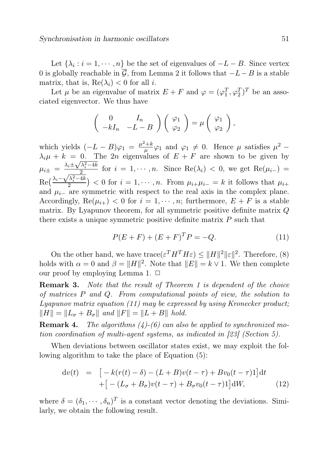Let  $\{\lambda_i : i = 1, \dots, n\}$  be the set of eigenvalues of  $-L - B$ . Since vertex 0 is globally reachable in  $\overline{G}$ , from Lemma 2 it follows that  $-L-B$  is a stable matrix, that is,  $\text{Re}(\lambda_i) < 0$  for all *i*.

Let  $\mu$  be an eigenvalue of matrix  $E + F$  and  $\varphi = (\varphi_1^T, \varphi_2^T)^T$  be an associated eigenvector. We thus have

$$
\begin{pmatrix} 0 & I_n \ -kI_n & -L-B \end{pmatrix} \begin{pmatrix} \varphi_1 \\ \varphi_2 \end{pmatrix} = \mu \begin{pmatrix} \varphi_1 \\ \varphi_2 \end{pmatrix},
$$

which yields  $(-L - B)\varphi_1 = \frac{\mu^2 + k}{\mu}$  $\frac{\partial^2 + k}{\partial \mu} \varphi_1$  and  $\varphi_1 \neq 0$ . Hence  $\mu$  satisfies  $\mu^2$  –  $\lambda_i \mu + k = 0$ . The 2n eigenvalues of  $E + F$  are shown to be given by  $\mu_{i\pm} = \frac{\lambda_i \pm \sqrt{\lambda_i^2 - 4k}}{2}$  for  $i = 1, \dots, n$ . Since  $\text{Re}(\lambda_i) < 0$ , we get  $\text{Re}(\mu_{i-}) =$  $\text{Re}(\frac{\lambda_i \frac{2}{\sqrt{\lambda_i^2-4k}}$  of  $i=1,\dots,n$ . Since  $\operatorname{Re}(\lambda_i) < 0$ , we get  $\operatorname{Re}(\mu_{i-1}) = \frac{\sqrt{\lambda_i^2-4k}}{2}$  > 0 for  $i=1,\dots,n$ . From  $\mu_{i+}\mu_{i-} = k$  it follows that  $\mu_{i+}$ and  $\mu_{i-}$  are symmetric with respect to the real axis in the complex plane. Accordingly,  $\text{Re}(\mu_{i+})$  < 0 for  $i = 1, \dots, n$ ; furthermore,  $E + F$  is a stable matrix. By Lyapunov theorem, for all symmetric positive definite matrix Q there exists a unique symmetric positive definite matrix  $P$  such that

$$
P(E+F) + (E+F)^{T}P = -Q.
$$
\n(11)

On the other hand, we have  $trace(\varepsilon^T H^T H \varepsilon) \leq ||H||^2 ||\varepsilon||^2$ . Therefore, (8) holds with  $\alpha = 0$  and  $\beta = ||H||^2$ . Note that  $||E|| = k \vee 1$ . We then complete our proof by employing Lemma 1.  $\Box$ 

**Remark 3.** Note that the result of Theorem 1 is dependent of the choice of matrices P and Q. From computational points of view, the solution to Lyapunov matrix equation  $(11)$  may be expressed by using Kronecker product;  $\|H\| = \|L_{\sigma} + B_{\sigma}\|$  and  $\|F\| = \|L + B\|$  hold.

**Remark 4.** The algorithms  $(4)$ - $(6)$  can also be applied to synchronized motion coordination of multi-agent systems, as indicated in [23] (Section 5).

When deviations between oscillator states exist, we may exploit the following algorithm to take the place of Equation (5):

$$
\begin{aligned} \mathrm{d}v(t) &= \left[ -k(r(t)-\delta) - (L+B)v(t-\tau) + Bv_0(t-\tau)\mathrm{1} \right] \mathrm{d}t \\ &+ \left[ -\left(L_\sigma + B_\sigma\right)v(t-\tau) + B_\sigma v_0(t-\tau)\mathrm{1} \right] \mathrm{d}W, \end{aligned} \tag{12}
$$

where  $\delta = (\delta_1, \dots, \delta_n)^T$  is a constant vector denoting the deviations. Similarly, we obtain the following result.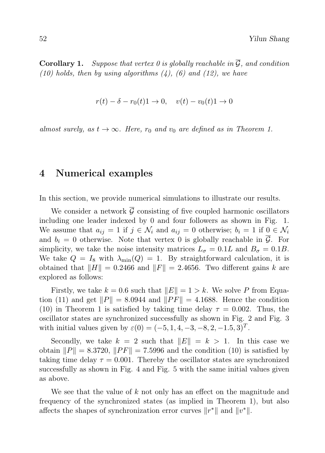**Corollary 1.** Suppose that vertex 0 is globally reachable in  $\overline{G}$ , and condition (10) holds, then by using algorithms  $(4)$ , (6) and (12), we have

$$
r(t) - \delta - r_0(t)1 \to 0, \quad v(t) - v_0(t)1 \to 0
$$

almost surely, as  $t \to \infty$ . Here,  $r_0$  and  $v_0$  are defined as in Theorem 1.

#### 4 Numerical examples

In this section, we provide numerical simulations to illustrate our results.

We consider a network  $\overline{G}$  consisting of five coupled harmonic oscillators including one leader indexed by 0 and four followers as shown in Fig. 1. We assume that  $a_{ij} = 1$  if  $j \in \mathcal{N}_i$  and  $a_{ij} = 0$  otherwise;  $b_i = 1$  if  $0 \in \mathcal{N}_i$ and  $b_i = 0$  otherwise. Note that vertex 0 is globally reachable in  $\overline{\mathcal{G}}$ . For simplicity, we take the noise intensity matrices  $L_{\sigma} = 0.1L$  and  $B_{\sigma} = 0.1B$ . We take  $Q = I_8$  with  $\lambda_{\min}(Q) = 1$ . By straightforward calculation, it is obtained that  $\|H\| = 0.2466$  and  $\|F\| = 2.4656$ . Two different gains k are explored as follows:

Firstly, we take  $k = 0.6$  such that  $||E|| = 1 > k$ . We solve P from Equation (11) and get  $||P|| = 8.0944$  and  $||PF|| = 4.1688$ . Hence the condition (10) in Theorem 1 is satisfied by taking time delay  $\tau = 0.002$ . Thus, the oscillator states are synchronized successfully as shown in Fig. 2 and Fig. 3 with initial values given by  $\varepsilon(0) = (-5, 1, 4, -3, -8, 2, -1.5, 3)^T$ .

Secondly, we take  $k = 2$  such that  $||E|| = k > 1$ . In this case we obtain  $||P|| = 8.3720, ||PF|| = 7.5996$  and the condition (10) is satisfied by taking time delay  $\tau = 0.001$ . Thereby the oscillator states are synchronized successfully as shown in Fig. 4 and Fig. 5 with the same initial values given as above.

We see that the value of  $k$  not only has an effect on the magnitude and frequency of the synchronized states (as implied in Theorem 1), but also affects the shapes of synchronization error curves  $||r^*||$  and  $||v^*||$ .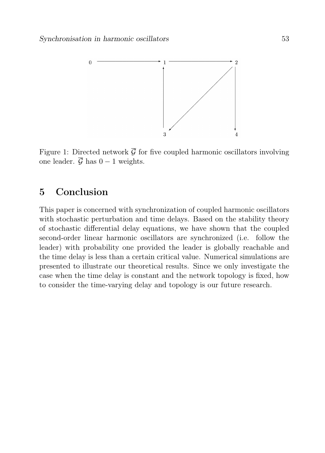

Figure 1: Directed network  $\overline{\mathcal{G}}$  for five coupled harmonic oscillators involving one leader.  $\overline{\mathcal{G}}$  has  $0 - 1$  weights.

# 5 Conclusion

This paper is concerned with synchronization of coupled harmonic oscillators with stochastic perturbation and time delays. Based on the stability theory of stochastic differential delay equations, we have shown that the coupled second-order linear harmonic oscillators are synchronized (i.e. follow the leader) with probability one provided the leader is globally reachable and the time delay is less than a certain critical value. Numerical simulations are presented to illustrate our theoretical results. Since we only investigate the case when the time delay is constant and the network topology is fixed, how to consider the time-varying delay and topology is our future research.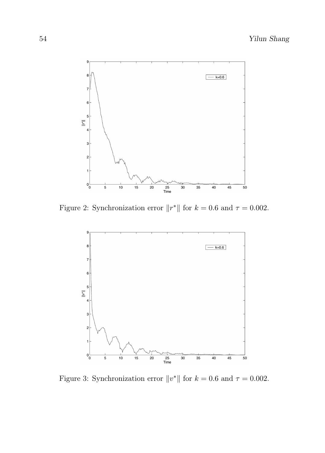

Figure 2: Synchronization error  $||r^*||$  for  $k = 0.6$  and  $\tau = 0.002$ .



Figure 3: Synchronization error  $||v^*||$  for  $k = 0.6$  and  $\tau = 0.002$ .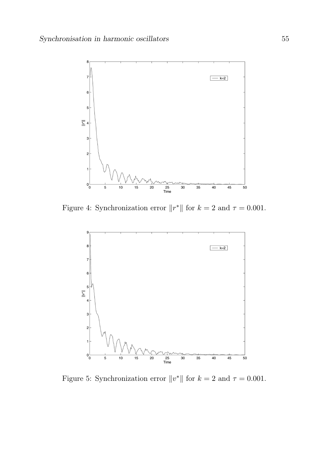

Figure 4: Synchronization error  $||r^*||$  for  $k = 2$  and  $\tau = 0.001$ .



Figure 5: Synchronization error  $||v^*||$  for  $k = 2$  and  $\tau = 0.001$ .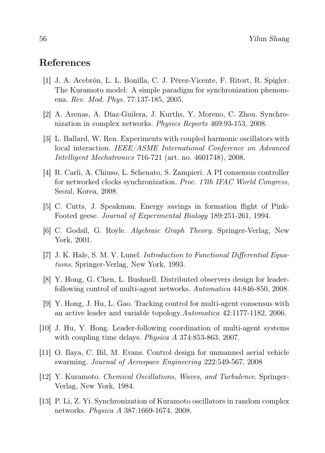# References

- [1] J. A. Acebrón, L. L. Bonilla, C. J. Pérez-Vicente, F. Ritort, R. Spigler. The Kuramoto model: A simple paradigm for synchronization phenomena. Rev. Mod. Phys. 77:137-185, 2005.
- [2] A. Arenas, A. Díaz-Guilera, J. Kurths, Y. Moreno, C. Zhou. Synchronization in complex networks. Physics Reports 469:93-153, 2008.
- [3] L. Ballard, W. Ren. Experiments with coupled harmonic oscillators with local interaction. IEEE/ASME International Conference on Advanced Intelligent Mechatronics 716-721 (art. no. 4601748), 2008.
- [4] R. Carli, A. Chiuso, L. Schenato, S. Zampieri. A PI consensus controller for networked clocks synchronization. Proc. 17th IFAC World Congress, Seoul, Korea, 2008.
- [5] C. Cutts, J. Speakman. Energy savings in formation flight of Pink-Footed geese. Journal of Experimental Biology 189:251-261, 1994.
- [6] C. Godsil, G. Royle. Algebraic Graph Theory. Springer-Verlag, New York, 2001.
- [7] J. K. Hale, S. M. V. Lunel. Introduction to Functional Differential Equations. Springer-Verlag, New York, 1993.
- [8] Y. Hong, G. Chen, L. Bushnell. Distributed observers design for leaderfollowing control of multi-agent networks. Automatica 44:846-850, 2008.
- [9] Y. Hong, J. Hu, L. Gao. Tracking control for multi-agent consensus with an active leader and variable topology.Automatica 42:1177-1182, 2006.
- [10] J. Hu, Y. Hong. Leader-following coordination of multi-agent systems with coupling time delays. *Physica A* 374:853-863, 2007.
- [11] O. Ilaya, C. Bil, M. Evans. Control design for unmanned aerial vehicle swarming. Journal of Aerospace Engineering 222:549-567, 2008
- [12] Y. Kuramoto. Chemical Oscillations, Waves, and Turbulence. Springer-Verlag, New York, 1984.
- [13] P. Li, Z. Yi. Synchronization of Kuramoto oscillators in random complex networks. Physica A 387:1669-1674, 2008.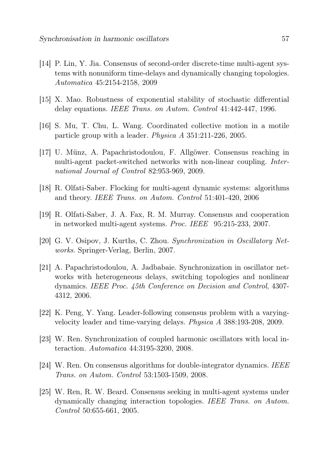- [14] P. Lin, Y. Jia. Consensus of second-order discrete-time multi-agent systems with nonuniform time-delays and dynamically changing topologies. Automatica 45:2154-2158, 2009
- [15] X. Mao. Robustness of exponential stability of stochastic differential delay equations. IEEE Trans. on Autom. Control 41:442-447, 1996.
- [16] S. Mu, T. Chu, L. Wang. Coordinated collective motion in a motile particle group with a leader. Physica A 351:211-226, 2005.
- [17] U. Münz, A. Papachristodoulou, F. Allgöwer. Consensus reaching in multi-agent packet-switched networks with non-linear coupling. International Journal of Control 82:953-969, 2009.
- [18] R. Olfati-Saber. Flocking for multi-agent dynamic systems: algorithms and theory. IEEE Trans. on Autom. Control 51:401-420, 2006
- [19] R. Olfati-Saber, J. A. Fax, R. M. Murray. Consensus and cooperation in networked multi-agent systems. Proc. IEEE 95:215-233, 2007.
- [20] G. V. Osipov, J. Kurths, C. Zhou. Synchronization in Oscillatory Networks. Springer-Verlag, Berlin, 2007.
- [21] A. Papachristodoulou, A. Jadbabaie. Synchronization in oscillator networks with heterogeneous delays, switching topologies and nonlinear dynamics. IEEE Proc. 45th Conference on Decision and Control, 4307- 4312, 2006.
- [22] K. Peng, Y. Yang. Leader-following consensus problem with a varyingvelocity leader and time-varying delays. Physica A 388:193-208, 2009.
- [23] W. Ren. Synchronization of coupled harmonic oscillators with local interaction. Automatica 44:3195-3200, 2008.
- [24] W. Ren. On consensus algorithms for double-integrator dynamics. IEEE Trans. on Autom. Control 53:1503-1509, 2008.
- [25] W. Ren, R. W. Beard. Consensus seeking in multi-agent systems under dynamically changing interaction topologies. IEEE Trans. on Autom. Control 50:655-661, 2005.